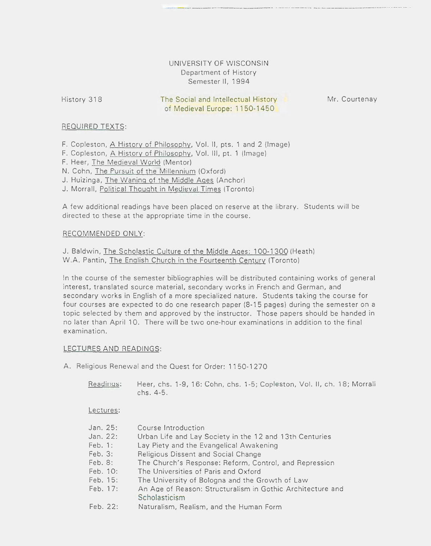# UNIVERSITY OF WISCONSIN Department of History Semester II, 1994

History 318

The Social and Intellectual History of Medieval Europe: 1150-1450

Mr. Courtenay

## REQUIRED TEXTS:

F. Copleston, A History of Philosophy, Vol. II, pts. 1 and 2 (Image)

- F. Copleston, A History of Philosophy, Vol. Ill, pt. 1 (Image)
- F. Heer, The Medieval World (Mentor)
- N. Cohn, The Pursuit of the Millennium (Oxford)
- J. Huizinga, The Waning of the Middle Ages (Anchor)
- J. Morrall, Political Thought in Medieval Times (Toronto)

A few additional readings have been placed on reserve at the library. Students will be directed to these at the appropriate time in the course.

### RECOMMENDED ONLY:

J. Baldwin, The Scholastic Culture of the Middle Ages: 100-1300 (Heath) W.A. Pantin, The English Church in the Fourteenth Century (Toronto)

In the course of the semester bibliographies will be distributed containing works of general interest, translated source material, secondary works in French and German, and secondary works in English of a more specialized nature. Students taking the course for four courses are expected to do one research paper (8-15 pages) during the semester on a topic selected by them and approved by the instructor. Those papers should be handed in no later than April 10. There will be two one-hour examinations in addition to the final examination.

#### LECTURES AND READINGS:

A. Religious Renewal and the Ouest for Order: 11 50-1 270

Readings: Heer, chs. 1-9, 16: Cohn, chs. 1-5; Copleston, Vol. II, ch. 18; Morrall chs. 4-5.

Lectures:

| Jan. 25:  | Course Introduction                                        |
|-----------|------------------------------------------------------------|
| Jan. 22:  | Urban Life and Lay Society in the 12 and 13th Centuries    |
| Feb. 1:   | Lay Piety and the Evangelical Awakening                    |
| Feb. 3:   | Religious Dissent and Social Change                        |
| $Feb.8$ : | The Church's Response: Reform, Control, and Repression     |
| Feb. 10:  | The Universities of Paris and Oxford                       |
| Feb. 15:  | The University of Bologna and the Growth of Law            |
| Feb. 17:  | An Age of Reason: Structuralism in Gothic Architecture and |
|           | Scholasticism                                              |
| Feb. 22:  | Naturalism, Realism, and the Human Form                    |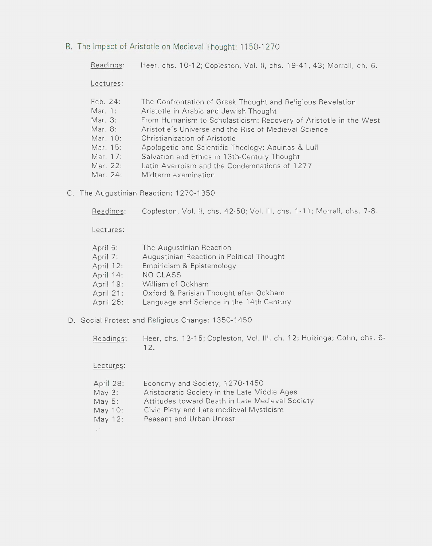B. The Impact of Aristotle on Medieval Thought: 1150-1270

Readings: Lectures: Feb. 24: Mar. 1: Mar. 3: Mar. 8: Mar. 10: Mar. 15: Heer, chs. 1 0-12; Copleston, Vol. II, chs. 19-41, 43; Morrall, ch. 6. The Confrontation of Greek Thought and Religious Revelation Aristotle in Arabic and Jewish Thought From Humanism to Scholasticism: Recovery of Aristotle in the West Aristotle's Universe and the Rise of Medieval Science Christianization of Aristotle Apologetic and Scientific Theology: Aquinas & Lull

- Mar. 17: Salvation and Ethics in 13th-Century Thought
- Mar. 22: Latin Averroism and the Condemnations of 1 277
- Mar. 24: Midterm examination
- C. The Augustinian Reaction: 1270-1350

Readings: Copleston, Vol. II, chs. 42-50; Vol. Ill, chs. 1-11; Morrall, chs. 7-8.

Lectures:

| April 5:  | The Augustinian Reaction                  |
|-----------|-------------------------------------------|
| April 7:  | Augustinian Reaction in Political Thought |
| April 12: | Empiricism & Epistemology                 |
| April 14: | NO CLASS                                  |
| April 19: | William of Ockham                         |
| April 21: | Oxford & Parisian Thought after Ockham    |
| April 26: | Language and Science in the 14th Century  |
|           |                                           |

D. Social Protest and Religious Change: 1350-1450

Readings: Heer, chs. 13-15; Copleston, Vol. II!, ch. 12; Huizinga; Cohn, chs. 6- 12.

## Lectures:

| April 28:  | Economy and Society, 1270-1450                  |
|------------|-------------------------------------------------|
| May 3:     | Aristocratic Society in the Late Middle Ages    |
| May 5:     | Attitudes toward Death in Late Medieval Society |
| May 10:    | Civic Piety and Late medieval Mysticism         |
| May $12$ : | Peasant and Urban Unrest                        |
|            |                                                 |